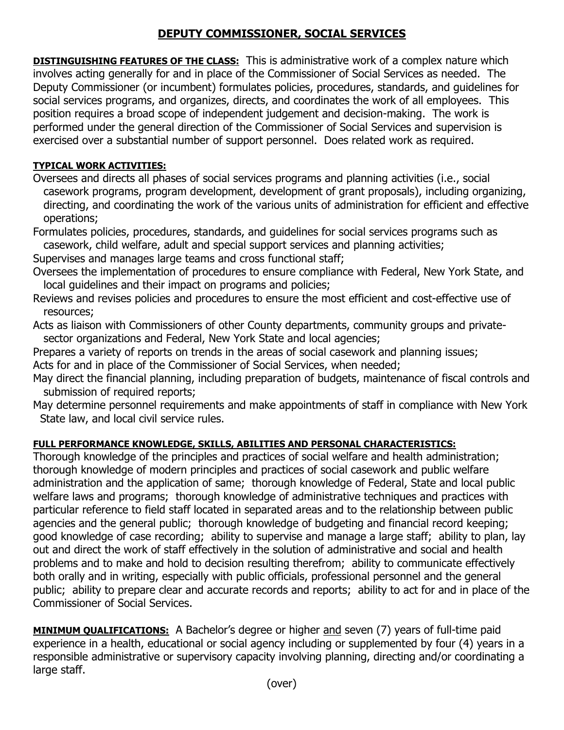## **DEPUTY COMMISSIONER, SOCIAL SERVICES**

**DISTINGUISHING FEATURES OF THE CLASS:** This is administrative work of a complex nature which involves acting generally for and in place of the Commissioner of Social Services as needed. The Deputy Commissioner (or incumbent) formulates policies, procedures, standards, and guidelines for social services programs, and organizes, directs, and coordinates the work of all employees. This position requires a broad scope of independent judgement and decision-making. The work is performed under the general direction of the Commissioner of Social Services and supervision is exercised over a substantial number of support personnel. Does related work as required.

## **TYPICAL WORK ACTIVITIES:**

Oversees and directs all phases of social services programs and planning activities (i.e., social casework programs, program development, development of grant proposals), including organizing, directing, and coordinating the work of the various units of administration for efficient and effective operations;

Formulates policies, procedures, standards, and guidelines for social services programs such as casework, child welfare, adult and special support services and planning activities;

Supervises and manages large teams and cross functional staff;

- Oversees the implementation of procedures to ensure compliance with Federal, New York State, and local guidelines and their impact on programs and policies;
- Reviews and revises policies and procedures to ensure the most efficient and cost-effective use of resources;
- Acts as liaison with Commissioners of other County departments, community groups and private sector organizations and Federal, New York State and local agencies;
- Prepares a variety of reports on trends in the areas of social casework and planning issues;

Acts for and in place of the Commissioner of Social Services, when needed;

- May direct the financial planning, including preparation of budgets, maintenance of fiscal controls and submission of required reports;
- May determine personnel requirements and make appointments of staff in compliance with New York State law, and local civil service rules.

## **FULL PERFORMANCE KNOWLEDGE, SKILLS, ABILITIES AND PERSONAL CHARACTERISTICS:**

Thorough knowledge of the principles and practices of social welfare and health administration; thorough knowledge of modern principles and practices of social casework and public welfare administration and the application of same; thorough knowledge of Federal, State and local public welfare laws and programs; thorough knowledge of administrative techniques and practices with particular reference to field staff located in separated areas and to the relationship between public agencies and the general public; thorough knowledge of budgeting and financial record keeping; good knowledge of case recording; ability to supervise and manage a large staff; ability to plan, lay out and direct the work of staff effectively in the solution of administrative and social and health problems and to make and hold to decision resulting therefrom; ability to communicate effectively both orally and in writing, especially with public officials, professional personnel and the general public; ability to prepare clear and accurate records and reports; ability to act for and in place of the Commissioner of Social Services.

**MINIMUM QUALIFICATIONS:** A Bachelor's degree or higher and seven (7) years of full-time paid experience in a health, educational or social agency including or supplemented by four (4) years in a responsible administrative or supervisory capacity involving planning, directing and/or coordinating a large staff.